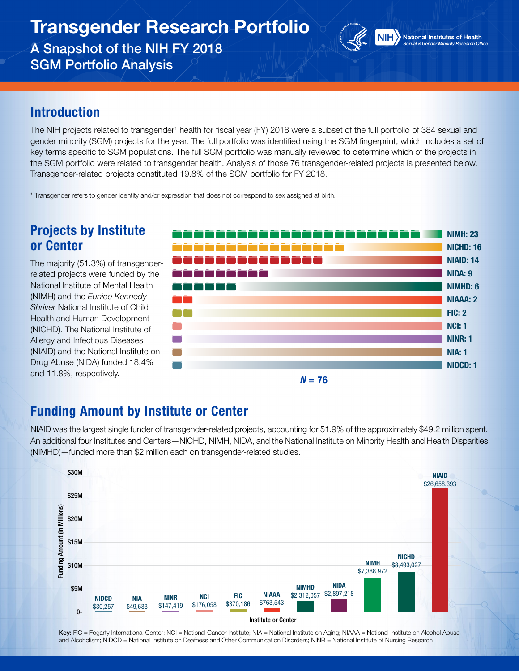# Transgender Research Portfolio

A Snapshot of the NIH FY 2018 SGM Portfolio Analysis



**NIH** National Institutes of Health *Sexual & Gender Minority Research Offce*

#### Introduction

The NIH projects related to transgender<sup>1</sup> health for fiscal year (FY) 2018 were a subset of the full portfolio of 384 sexual and gender minority (SGM) projects for the year. The full portfolio was identifed using the SGM fngerprint, which includes a set of key terms specifc to SGM populations. The full SGM portfolio was manually reviewed to determine which of the projects in the SGM portfolio were related to transgender health. Analysis of those 76 transgender-related projects is presented below. Transgender-related projects constituted 19.8% of the SGM portfolio for FY 2018.

1 Transgender refers to gender identity and/or expression that does not correspond to sex assigned at birth.

## Projects by Institute or Center

The majority (51.3%) of transgenderrelated projects were funded by the National Institute of Mental Health (NIMH) and the *Eunice Kennedy Shriver* National Institute of Child Health and Human Development (NICHD). The National Institute of Allergy and Infectious Diseases (NIAID) and the National Institute on Drug Abuse (NIDA) funded 18.4%



## Funding Amount by Institute or Center

NIAID was the largest single funder of transgender-related projects, accounting for 51.9% of the approximately \$49.2 million spent. An additional four Institutes and Centers—NICHD, NIMH, NIDA, and the National Institute on Minority Health and Health Disparities (NIMHD)—funded more than \$2 million each on transgender-related studies.





Key: FIC = Fogarty International Center; NCI = National Cancer Institute; NIA = National Institute on Aging; NIAAA = National Institute on Alcohol Abuse and Alcoholism; NIDCD = National Institute on Deafness and Other Communication Disorders; NINR = National Institute of Nursing Research